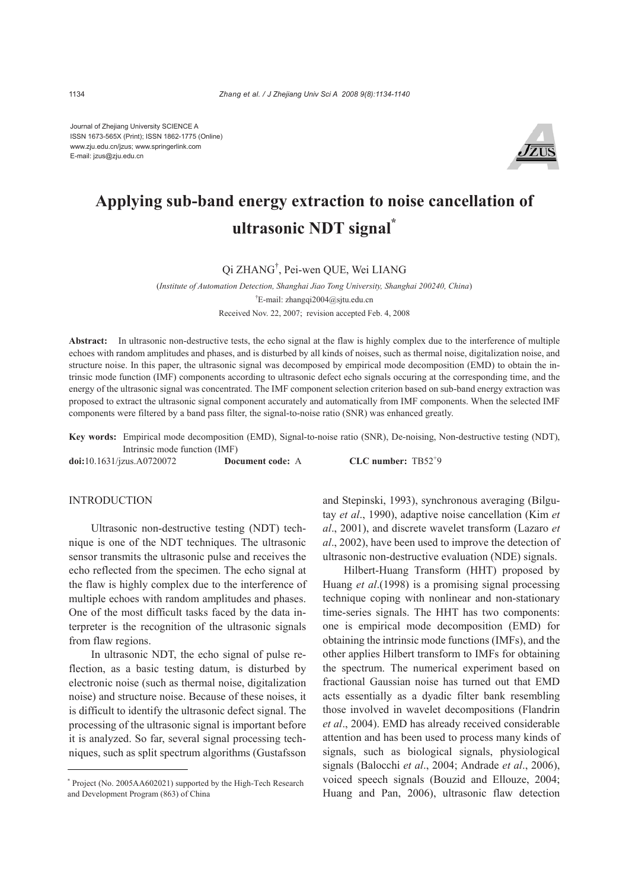Journal of Zhejiang University SCIENCE A ISSN 1673-565X (Print); ISSN 1862-1775 (Online) www.zju.edu.cn/jzus; www.springerlink.com E-mail: jzus@zju.edu.cn



# **Applying sub-band energy extraction to noise cancellation of ultrasonic NDT signal\***

Qi ZHANG† , Pei-wen QUE, Wei LIANG

(*Institute of Automation Detection, Shanghai Jiao Tong University, Shanghai 200240, China*) † E-mail: zhangqi2004@sjtu.edu.cn Received Nov. 22, 2007; revision accepted Feb. 4, 2008

**Abstract:** In ultrasonic non-destructive tests, the echo signal at the flaw is highly complex due to the interference of multiple echoes with random amplitudes and phases, and is disturbed by all kinds of noises, such as thermal noise, digitalization noise, and structure noise. In this paper, the ultrasonic signal was decomposed by empirical mode decomposition (EMD) to obtain the intrinsic mode function (IMF) components according to ultrasonic defect echo signals occuring at the corresponding time, and the energy of the ultrasonic signal was concentrated. The IMF component selection criterion based on sub-band energy extraction was proposed to extract the ultrasonic signal component accurately and automatically from IMF components. When the selected IMF components were filtered by a band pass filter, the signal-to-noise ratio (SNR) was enhanced greatly.

**Key words:** Empirical mode decomposition (EMD), Signal-to-noise ratio (SNR), De-noising, Non-destructive testing (NDT), Intrinsic mode function (IMF)

**doi:**10.1631/jzus.A0720072 **Document code:** A

CLC number:  $TB52+9$ 

#### INTRODUCTION

Ultrasonic non-destructive testing (NDT) technique is one of the NDT techniques. The ultrasonic sensor transmits the ultrasonic pulse and receives the echo reflected from the specimen. The echo signal at the flaw is highly complex due to the interference of multiple echoes with random amplitudes and phases. One of the most difficult tasks faced by the data interpreter is the recognition of the ultrasonic signals from flaw regions.

In ultrasonic NDT, the echo signal of pulse reflection, as a basic testing datum, is disturbed by electronic noise (such as thermal noise, digitalization noise) and structure noise. Because of these noises, it is difficult to identify the ultrasonic defect signal. The processing of the ultrasonic signal is important before it is analyzed. So far, several signal processing techniques, such as split spectrum algorithms (Gustafsson

and Stepinski, 1993), synchronous averaging (Bilgutay *et al*., 1990), adaptive noise cancellation (Kim *et al*., 2001), and discrete wavelet transform (Lazaro *et al*., 2002), have been used to improve the detection of ultrasonic non-destructive evaluation (NDE) signals.

Hilbert-Huang Transform (HHT) proposed by Huang *et al*.(1998) is a promising signal processing technique coping with nonlinear and non-stationary time-series signals. The HHT has two components: one is empirical mode decomposition (EMD) for obtaining the intrinsic mode functions (IMFs), and the other applies Hilbert transform to IMFs for obtaining the spectrum. The numerical experiment based on fractional Gaussian noise has turned out that EMD acts essentially as a dyadic filter bank resembling those involved in wavelet decompositions (Flandrin *et al*., 2004). EMD has already received considerable attention and has been used to process many kinds of signals, such as biological signals, physiological signals (Balocchi *et al*., 2004; Andrade *et al*., 2006), voiced speech signals (Bouzid and Ellouze, 2004; Huang and Pan, 2006), ultrasonic flaw detection

<sup>\*</sup> Project (No. 2005AA602021) supported by the High-Tech Research and Development Program (863) of China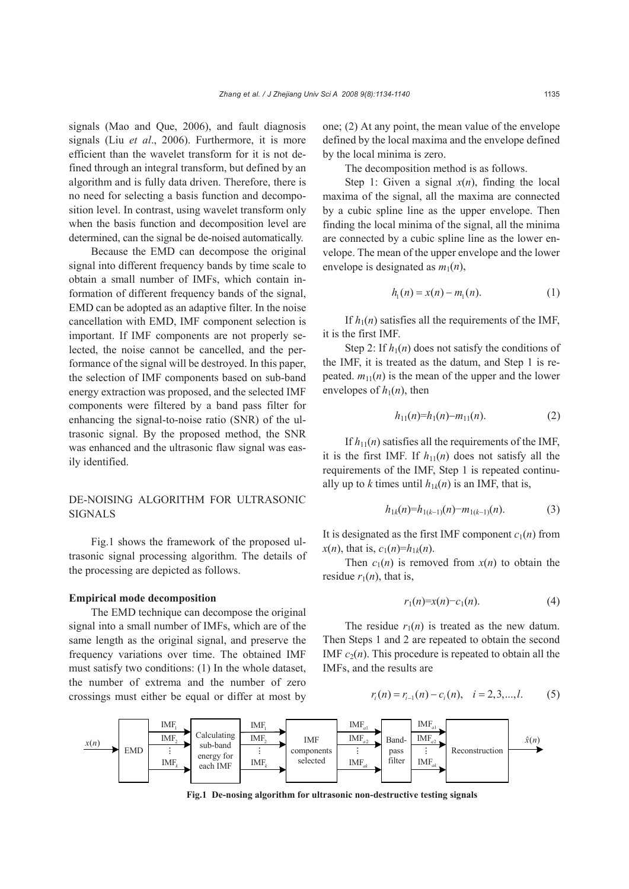signals (Mao and Que, 2006), and fault diagnosis signals (Liu *et al*., 2006). Furthermore, it is more efficient than the wavelet transform for it is not defined through an integral transform, but defined by an algorithm and is fully data driven. Therefore, there is no need for selecting a basis function and decomposition level. In contrast, using wavelet transform only when the basis function and decomposition level are determined, can the signal be de-noised automatically.

Because the EMD can decompose the original signal into different frequency bands by time scale to obtain a small number of IMFs, which contain information of different frequency bands of the signal, EMD can be adopted as an adaptive filter. In the noise cancellation with EMD, IMF component selection is important. If IMF components are not properly selected, the noise cannot be cancelled, and the performance of the signal will be destroyed. In this paper, the selection of IMF components based on sub-band energy extraction was proposed, and the selected IMF components were filtered by a band pass filter for enhancing the signal-to-noise ratio (SNR) of the ultrasonic signal. By the proposed method, the SNR was enhanced and the ultrasonic flaw signal was easily identified.

# DE-NOISING ALGORITHM FOR ULTRASONIC SIGNALS

Fig.1 shows the framework of the proposed ultrasonic signal processing algorithm. The details of the processing are depicted as follows.

#### **Empirical mode decomposition**

The EMD technique can decompose the original signal into a small number of IMFs, which are of the same length as the original signal, and preserve the frequency variations over time. The obtained IMF must satisfy two conditions: (1) In the whole dataset, the number of extrema and the number of zero crossings must either be equal or differ at most by

one; (2) At any point, the mean value of the envelope defined by the local maxima and the envelope defined by the local minima is zero.

The decomposition method is as follows.

Step 1: Given a signal  $x(n)$ , finding the local maxima of the signal, all the maxima are connected by a cubic spline line as the upper envelope. Then finding the local minima of the signal, all the minima are connected by a cubic spline line as the lower envelope. The mean of the upper envelope and the lower envelope is designated as  $m_1(n)$ ,

$$
h_1(n) = x(n) - m_1(n).
$$
 (1)

If  $h_1(n)$  satisfies all the requirements of the IMF, it is the first IMF.

Step 2: If  $h_1(n)$  does not satisfy the conditions of the IMF, it is treated as the datum, and Step 1 is repeated.  $m_{11}(n)$  is the mean of the upper and the lower envelopes of  $h_1(n)$ , then

$$
h_{11}(n)=h_1(n)-m_{11}(n). \t\t(2)
$$

If  $h_{11}(n)$  satisfies all the requirements of the IMF, it is the first IMF. If  $h_{11}(n)$  does not satisfy all the requirements of the IMF, Step 1 is repeated continually up to *k* times until  $h_{1k}(n)$  is an IMF, that is,

$$
h_{1k}(n)=h_{1(k-1)}(n)-m_{1(k-1)}(n). \hspace{1cm} (3)
$$

It is designated as the first IMF component  $c_1(n)$  from *x*(*n*), that is,  $c_1(n)=h_{1k}(n)$ .

Then  $c_1(n)$  is removed from  $x(n)$  to obtain the residue  $r_1(n)$ , that is,

$$
r_1(n)=x(n)-c_1(n). \t\t(4)
$$

The residue  $r_1(n)$  is treated as the new datum. Then Steps 1 and 2 are repeated to obtain the second IMF  $c_2(n)$ . This procedure is repeated to obtain all the IMFs, and the results are

$$
r_i(n) = r_{i-1}(n) - c_i(n), \quad i = 2, 3, \dots, l. \tag{5}
$$



**Fig.1 De-nosing algorithm for ultrasonic non-destructive testing signals**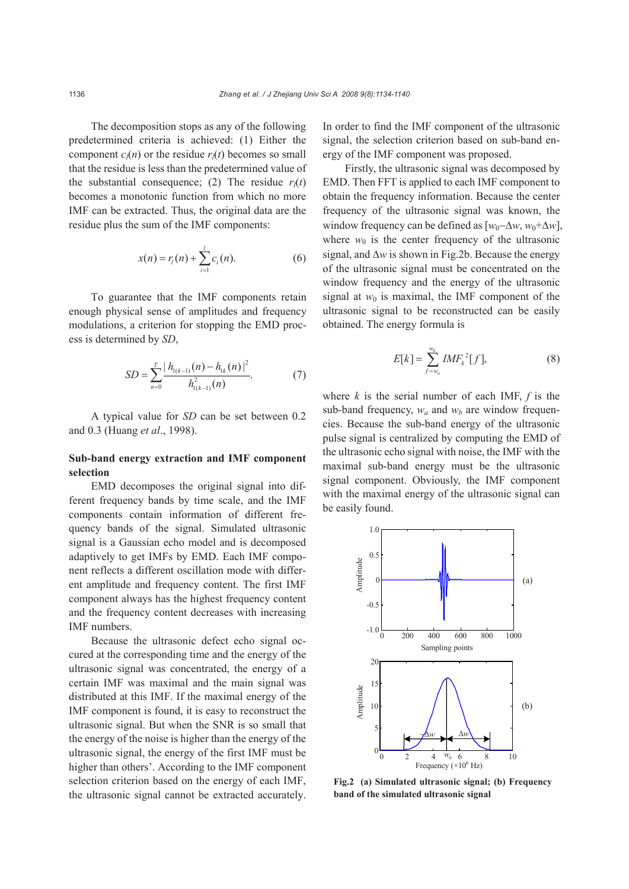The decomposition stops as any of the following predetermined criteria is achieved: (1) Either the component  $c_l(n)$  or the residue  $r_l(t)$  becomes so small that the residue is less than the predetermined value of the substantial consequence; (2) The residue  $r_l(t)$ becomes a monotonic function from which no more IMF can be extracted. Thus, the original data are the residue plus the sum of the IMF components:

$$
x(n) = r_i(n) + \sum_{i=1}^{l} c_i(n).
$$
 (6)

To guarantee that the IMF components retain enough physical sense of amplitudes and frequency modulations, a criterion for stopping the EMD process is determined by *SD*,

$$
SD = \sum_{n=0}^{T} \frac{|h_{1(k-1)}(n) - h_{1k}(n)|^2}{h_{1(k-1)}^2(n)}.
$$
 (7)

A typical value for *SD* can be set between 0.2 and 0.3 (Huang *et al*., 1998).

### **Sub-band energy extraction and IMF component selection**

EMD decomposes the original signal into different frequency bands by time scale, and the IMF components contain information of different frequency bands of the signal. Simulated ultrasonic signal is a Gaussian echo model and is decomposed adaptively to get IMFs by EMD. Each IMF component reflects a different oscillation mode with different amplitude and frequency content. The first IMF component always has the highest frequency content and the frequency content decreases with increasing IMF numbers.

Because the ultrasonic defect echo signal occured at the corresponding time and the energy of the ultrasonic signal was concentrated, the energy of a certain IMF was maximal and the main signal was distributed at this IMF. If the maximal energy of the IMF component is found, it is easy to reconstruct the ultrasonic signal. But when the SNR is so small that the energy of the noise is higher than the energy of the ultrasonic signal, the energy of the first IMF must be higher than others'. According to the IMF component selection criterion based on the energy of each IMF, the ultrasonic signal cannot be extracted accurately. In order to find the IMF component of the ultrasonic signal, the selection criterion based on sub-band energy of the IMF component was proposed.

Firstly, the ultrasonic signal was decomposed by EMD. Then FFT is applied to each IMF component to obtain the frequency information. Because the center frequency of the ultrasonic signal was known, the *w*indow frequency can be defined as  $[w_0−Δw, w_0+Δw]$ , where  $w_0$  is the center frequency of the ultrasonic signal, and Δ*w* is shown in Fig.2b. Because the energy of the ultrasonic signal must be concentrated on the window frequency and the energy of the ultrasonic signal at  $w_0$  is maximal, the IMF component of the ultrasonic signal to be reconstructed can be easily obtained. The energy formula is

$$
E[k] = \sum_{f=w_a}^{w_b} IMF_k^2[f],\tag{8}
$$

where  $k$  is the serial number of each IMF,  $f$  is the sub-band frequency,  $w_a$  and  $w_b$  are window frequencies. Because the sub-band energy of the ultrasonic pulse signal is centralized by computing the EMD of the ultrasonic echo signal with noise, the IMF with the maximal sub-band energy must be the ultrasonic signal component. Obviously, the IMF component with the maximal energy of the ultrasonic signal can be easily found.



**Fig.2 (a) Simulated ultrasonic signal; (b) Frequency band of the simulated ultrasonic signal**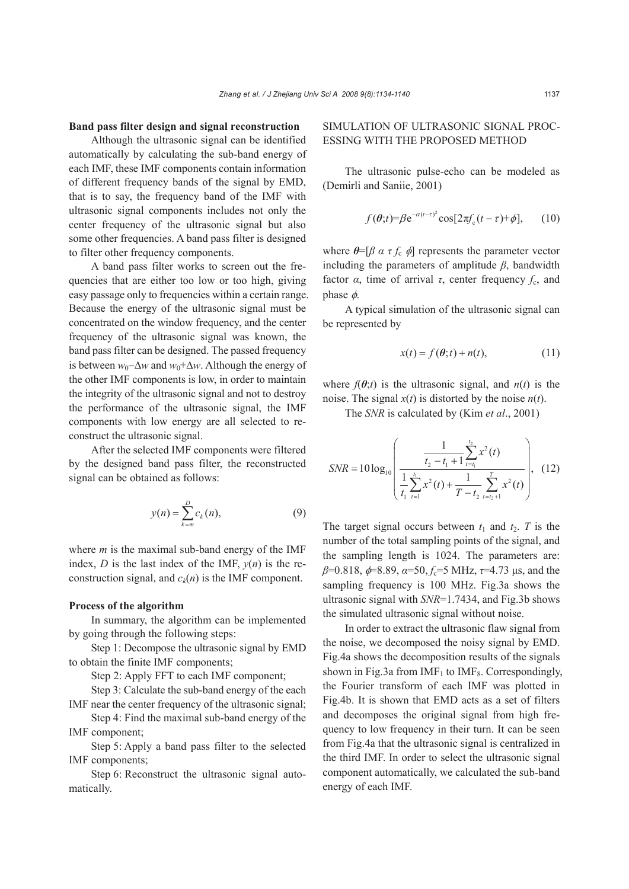#### **Band pass filter design and signal reconstruction**

Although the ultrasonic signal can be identified automatically by calculating the sub-band energy of each IMF, these IMF components contain information of different frequency bands of the signal by EMD, that is to say, the frequency band of the IMF with ultrasonic signal components includes not only the center frequency of the ultrasonic signal but also some other frequencies. A band pass filter is designed to filter other frequency components.

A band pass filter works to screen out the frequencies that are either too low or too high, giving easy passage only to frequencies within a certain range. Because the energy of the ultrasonic signal must be concentrated on the window frequency, and the center frequency of the ultrasonic signal was known, the band pass filter can be designed. The passed frequency is between *w*<sub>0</sub>−∆*w* and *w*<sub>0</sub>+∆*w*. Although the energy of the other IMF components is low, in order to maintain the integrity of the ultrasonic signal and not to destroy the performance of the ultrasonic signal, the IMF components with low energy are all selected to reconstruct the ultrasonic signal.

After the selected IMF components were filtered by the designed band pass filter, the reconstructed signal can be obtained as follows:

$$
y(n) = \sum_{k=m}^{D} c_k(n),
$$
\n(9)

where *m* is the maximal sub-band energy of the IMF index, *D* is the last index of the IMF,  $y(n)$  is the reconstruction signal, and  $c_k(n)$  is the IMF component.

#### **Process of the algorithm**

In summary, the algorithm can be implemented by going through the following steps:

Step 1: Decompose the ultrasonic signal by EMD to obtain the finite IMF components;

Step 2: Apply FFT to each IMF component;

Step 3: Calculate the sub-band energy of the each

IMF near the center frequency of the ultrasonic signal; Step 4: Find the maximal sub-band energy of the IMF component;

Step 5: Apply a band pass filter to the selected IMF components;

Step 6: Reconstruct the ultrasonic signal automatically.

# SIMULATION OF ULTRASONIC SIGNAL PROC-ESSING WITH THE PROPOSED METHOD

The ultrasonic pulse-echo can be modeled as (Demirli and Saniie, 2001)

$$
f(\boldsymbol{\theta};t) = \beta e^{-\alpha(t-\tau)^2} \cos[2\pi f_c(t-\tau) + \phi], \qquad (10)
$$

where  $\theta = [\beta \alpha \tau f_c \phi]$  represents the parameter vector including the parameters of amplitude  $\beta$ , bandwidth factor *α*, time of arrival *τ*, center frequency *f*c, and phase  $\phi$ .

A typical simulation of the ultrasonic signal can be represented by

$$
x(t) = f(\theta; t) + n(t), \tag{11}
$$

where  $f(\theta; t)$  is the ultrasonic signal, and  $n(t)$  is the noise. The signal  $x(t)$  is distorted by the noise  $n(t)$ .

The *SNR* is calculated by (Kim *et al*., 2001)

$$
SNR = 10 \log_{10} \left( \frac{\frac{1}{t_2 - t_1 + 1} \sum_{t=t_1}^{t_2} x^2(t)}{\frac{1}{t_1} \sum_{t=1}^{t_1} x^2(t) + \frac{1}{T - t_2} \sum_{t=t_2 + 1}^{T} x^2(t)} \right), \quad (12)
$$

The target signal occurs between  $t_1$  and  $t_2$ . *T* is the number of the total sampling points of the signal, and the sampling length is 1024. The parameters are: *β*=0.818, φ=8.89, *α*=50, *f*c=5 MHz, *τ*=4.73 μs, and the sampling frequency is 100 MHz. Fig.3a shows the ultrasonic signal with *SNR*=1.7434, and Fig.3b shows the simulated ultrasonic signal without noise.

In order to extract the ultrasonic flaw signal from the noise, we decomposed the noisy signal by EMD. Fig.4a shows the decomposition results of the signals shown in Fig.3a from  $IMF<sub>1</sub>$  to  $IMF<sub>8</sub>$ . Correspondingly, the Fourier transform of each IMF was plotted in Fig.4b. It is shown that EMD acts as a set of filters and decomposes the original signal from high frequency to low frequency in their turn. It can be seen from Fig.4a that the ultrasonic signal is centralized in the third IMF. In order to select the ultrasonic signal component automatically, we calculated the sub-band energy of each IMF.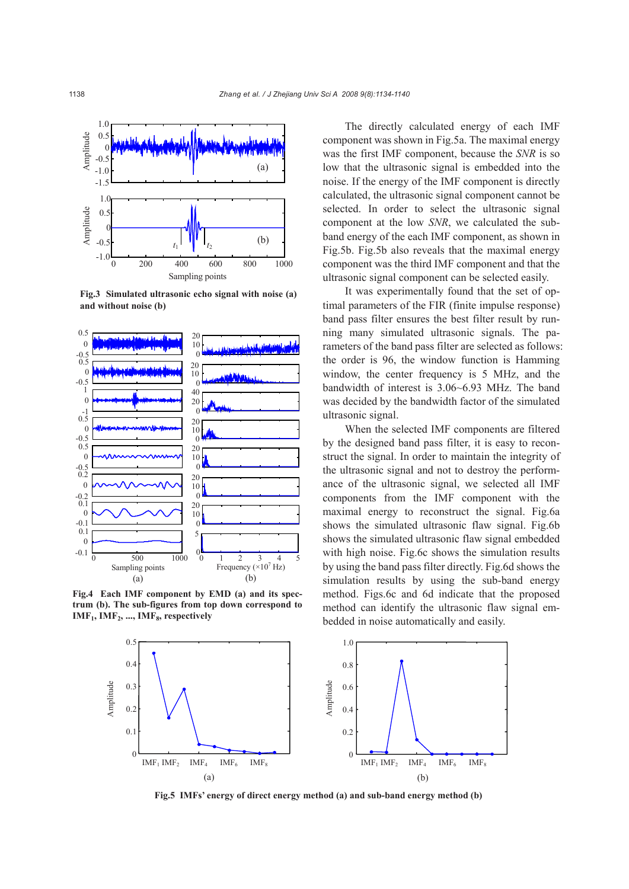

**Fig.3 Simulated ultrasonic echo signal with noise (a) and without noise (b)** 



**Fig.4 Each IMF component by EMD (a) and its spectrum (b). The sub-figures from top down correspond to** IMF<sub>1</sub>, IMF<sub>2</sub>, ..., IMF<sub>8</sub>, respectively

The directly calculated energy of each IMF component was shown in Fig.5a. The maximal energy was the first IMF component, because the *SNR* is so low that the ultrasonic signal is embedded into the noise. If the energy of the IMF component is directly calculated, the ultrasonic signal component cannot be selected. In order to select the ultrasonic signal component at the low *SNR*, we calculated the subband energy of the each IMF component, as shown in Fig.5b. Fig.5b also reveals that the maximal energy component was the third IMF component and that the ultrasonic signal component can be selected easily.

It was experimentally found that the set of optimal parameters of the FIR (finite impulse response) band pass filter ensures the best filter result by running many simulated ultrasonic signals. The parameters of the band pass filter are selected as follows: the order is 96, the window function is Hamming window, the center frequency is 5 MHz, and the bandwidth of interest is 3.06~6.93 MHz. The band was decided by the bandwidth factor of the simulated ultrasonic signal.

When the selected IMF components are filtered by the designed band pass filter, it is easy to reconstruct the signal. In order to maintain the integrity of the ultrasonic signal and not to destroy the performance of the ultrasonic signal, we selected all IMF components from the IMF component with the maximal energy to reconstruct the signal. Fig.6a shows the simulated ultrasonic flaw signal. Fig.6b shows the simulated ultrasonic flaw signal embedded with high noise. Fig.6c shows the simulation results by using the band pass filter directly. Fig.6d shows the simulation results by using the sub-band energy method. Figs.6c and 6d indicate that the proposed method can identify the ultrasonic flaw signal embedded in noise automatically and easily.



**Fig.5 IMFs' energy of direct energy method (a) and sub-band energy method (b)**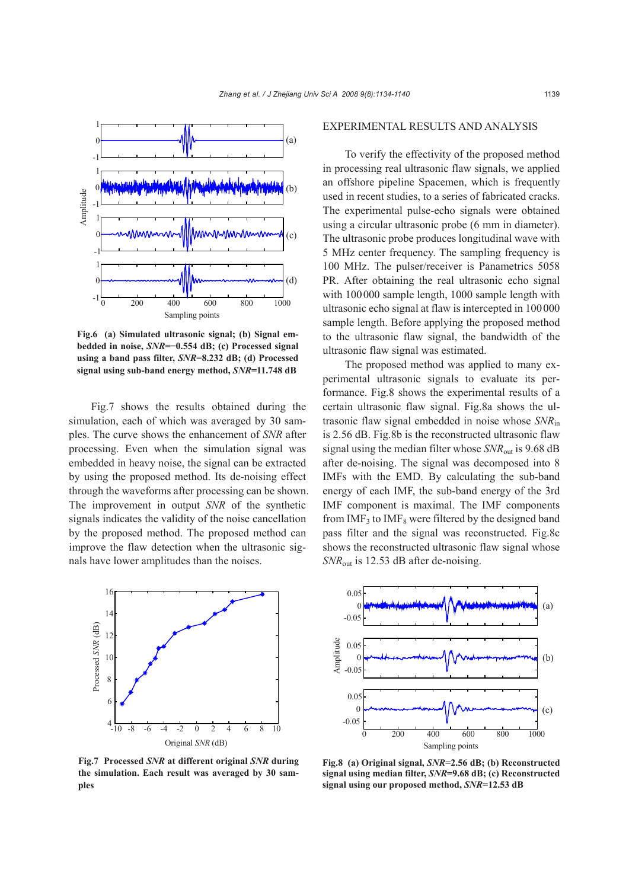

**Fig.6 (a) Simulated ultrasonic signal; (b) Signal embedded in noise,** *SNR***=−0.554 dB; (c) Processed signal using a band pass filter,** *SNR***=8.232 dB; (d) Processed signal using sub-band energy method,** *SNR***=11.748 dB**

Fig.7 shows the results obtained during the simulation, each of which was averaged by 30 samples. The curve shows the enhancement of *SNR* after processing. Even when the simulation signal was embedded in heavy noise, the signal can be extracted by using the proposed method. Its de-noising effect through the waveforms after processing can be shown. The improvement in output *SNR* of the synthetic signals indicates the validity of the noise cancellation by the proposed method. The proposed method can improve the flaw detection when the ultrasonic signals have lower amplitudes than the noises.



**Fig.7 Processed** *SNR* **at different original** *SNR* **during the simulation. Each result was averaged by 30 samples**

### EXPERIMENTAL RESULTS AND ANALYSIS

To verify the effectivity of the proposed method in processing real ultrasonic flaw signals, we applied an offshore pipeline Spacemen, which is frequently used in recent studies, to a series of fabricated cracks. The experimental pulse-echo signals were obtained using a circular ultrasonic probe (6 mm in diameter). The ultrasonic probe produces longitudinal wave with 5 MHz center frequency. The sampling frequency is 100 MHz. The pulser/receiver is Panametrics 5058 PR. After obtaining the real ultrasonic echo signal with 100000 sample length, 1000 sample length with ultrasonic echo signal at flaw is intercepted in 100000 sample length. Before applying the proposed method to the ultrasonic flaw signal, the bandwidth of the ultrasonic flaw signal was estimated.

The proposed method was applied to many experimental ultrasonic signals to evaluate its performance. Fig.8 shows the experimental results of a certain ultrasonic flaw signal. Fig.8a shows the ultrasonic flaw signal embedded in noise whose *SNR*in is 2.56 dB. Fig.8b is the reconstructed ultrasonic flaw signal using the median filter whose *SNR*out is 9.68 dB after de-noising. The signal was decomposed into 8 IMFs with the EMD. By calculating the sub-band energy of each IMF, the sub-band energy of the 3rd IMF component is maximal. The IMF components from  $IMF_3$  to  $IMF_8$  were filtered by the designed band pass filter and the signal was reconstructed. Fig.8c shows the reconstructed ultrasonic flaw signal whose *SNR*<sub>out</sub> is 12.53 dB after de-noising.



**Fig.8 (a) Original signal,** *SNR***=2.56 dB; (b) Reconstructed signal using median filter,** *SNR***=9.68 dB; (c) Reconstructed signal using our proposed method,** *SNR***=12.53 dB**